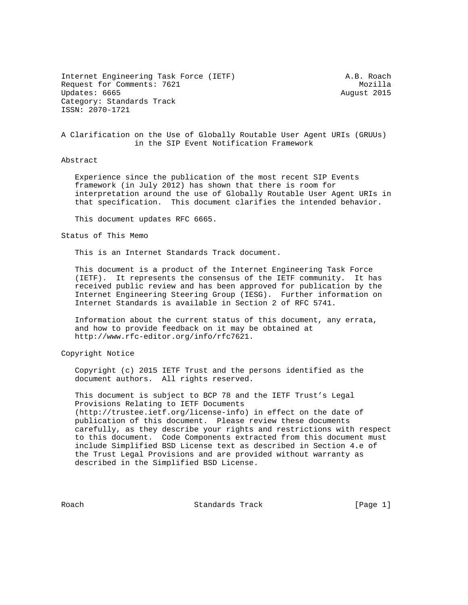Internet Engineering Task Force (IETF) A.B. Roach Request for Comments: 7621 Mozilla Updates: 6665 August 2015 Category: Standards Track ISSN: 2070-1721

A Clarification on the Use of Globally Routable User Agent URIs (GRUUs) in the SIP Event Notification Framework

## Abstract

 Experience since the publication of the most recent SIP Events framework (in July 2012) has shown that there is room for interpretation around the use of Globally Routable User Agent URIs in that specification. This document clarifies the intended behavior.

This document updates RFC 6665.

Status of This Memo

This is an Internet Standards Track document.

 This document is a product of the Internet Engineering Task Force (IETF). It represents the consensus of the IETF community. It has received public review and has been approved for publication by the Internet Engineering Steering Group (IESG). Further information on Internet Standards is available in Section 2 of RFC 5741.

 Information about the current status of this document, any errata, and how to provide feedback on it may be obtained at http://www.rfc-editor.org/info/rfc7621.

Copyright Notice

 Copyright (c) 2015 IETF Trust and the persons identified as the document authors. All rights reserved.

 This document is subject to BCP 78 and the IETF Trust's Legal Provisions Relating to IETF Documents (http://trustee.ietf.org/license-info) in effect on the date of publication of this document. Please review these documents carefully, as they describe your rights and restrictions with respect to this document. Code Components extracted from this document must include Simplified BSD License text as described in Section 4.e of the Trust Legal Provisions and are provided without warranty as described in the Simplified BSD License.

Roach **Standards Track** [Page 1]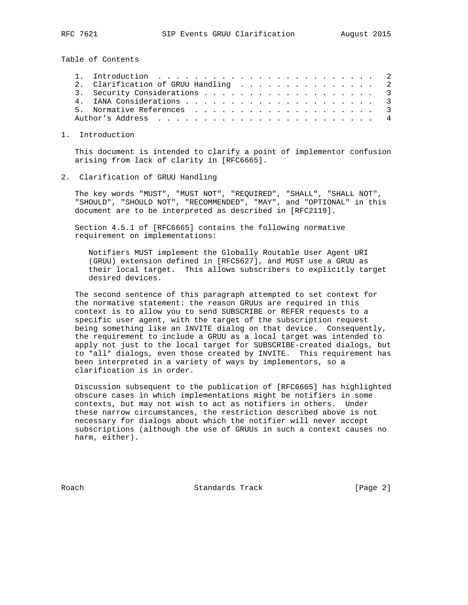Table of Contents

|  |  |  |  |  |  |  |  | 2. Clarification of GRUU Handling 2<br>3. Security Considerations 3 |
|--|--|--|--|--|--|--|--|---------------------------------------------------------------------|

## 1. Introduction

 This document is intended to clarify a point of implementor confusion arising from lack of clarity in [RFC6665].

## 2. Clarification of GRUU Handling

 The key words "MUST", "MUST NOT", "REQUIRED", "SHALL", "SHALL NOT", "SHOULD", "SHOULD NOT", "RECOMMENDED", "MAY", and "OPTIONAL" in this document are to be interpreted as described in [RFC2119].

 Section 4.5.1 of [RFC6665] contains the following normative requirement on implementations:

 Notifiers MUST implement the Globally Routable User Agent URI (GRUU) extension defined in [RFC5627], and MUST use a GRUU as their local target. This allows subscribers to explicitly target desired devices.

 The second sentence of this paragraph attempted to set context for the normative statement: the reason GRUUs are required in this context is to allow you to send SUBSCRIBE or REFER requests to a specific user agent, with the target of the subscription request being something like an INVITE dialog on that device. Consequently, the requirement to include a GRUU as a local target was intended to apply not just to the local target for SUBSCRIBE-created dialogs, but to \*all\* dialogs, even those created by INVITE. This requirement has been interpreted in a variety of ways by implementors, so a clarification is in order.

 Discussion subsequent to the publication of [RFC6665] has highlighted obscure cases in which implementations might be notifiers in some contexts, but may not wish to act as notifiers in others. Under these narrow circumstances, the restriction described above is not necessary for dialogs about which the notifier will never accept subscriptions (although the use of GRUUs in such a context causes no harm, either).

Roach **Standards Track** [Page 2]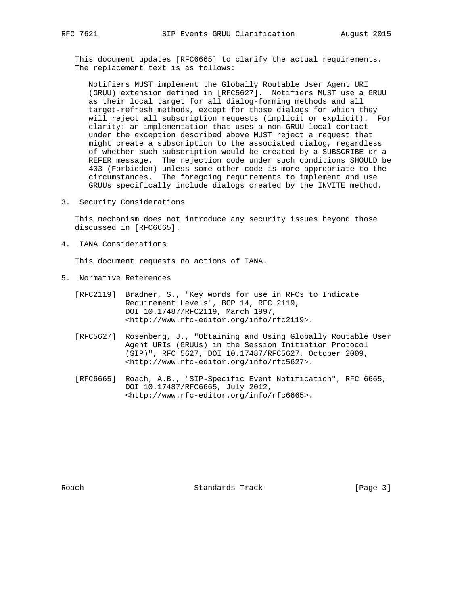This document updates [RFC6665] to clarify the actual requirements. The replacement text is as follows:

 Notifiers MUST implement the Globally Routable User Agent URI (GRUU) extension defined in [RFC5627]. Notifiers MUST use a GRUU as their local target for all dialog-forming methods and all target-refresh methods, except for those dialogs for which they will reject all subscription requests (implicit or explicit). For clarity: an implementation that uses a non-GRUU local contact under the exception described above MUST reject a request that might create a subscription to the associated dialog, regardless of whether such subscription would be created by a SUBSCRIBE or a REFER message. The rejection code under such conditions SHOULD be 403 (Forbidden) unless some other code is more appropriate to the circumstances. The foregoing requirements to implement and use GRUUs specifically include dialogs created by the INVITE method.

3. Security Considerations

 This mechanism does not introduce any security issues beyond those discussed in [RFC6665].

4. IANA Considerations

This document requests no actions of IANA.

5. Normative References

|  | [RFC2119] Bradner, S., "Key words for use in RFCs to Indicate |
|--|---------------------------------------------------------------|
|  | Requirement Levels", BCP 14, RFC 2119,                        |
|  | DOI 10.17487/RFC2119, March 1997,                             |
|  | <http: info="" rfc2119="" www.rfc-editor.org="">.</http:>     |
|  |                                                               |

- [RFC5627] Rosenberg, J., "Obtaining and Using Globally Routable User Agent URIs (GRUUs) in the Session Initiation Protocol (SIP)", RFC 5627, DOI 10.17487/RFC5627, October 2009, <http://www.rfc-editor.org/info/rfc5627>.
- [RFC6665] Roach, A.B., "SIP-Specific Event Notification", RFC 6665, DOI 10.17487/RFC6665, July 2012, <http://www.rfc-editor.org/info/rfc6665>.

Roach Standards Track [Page 3]